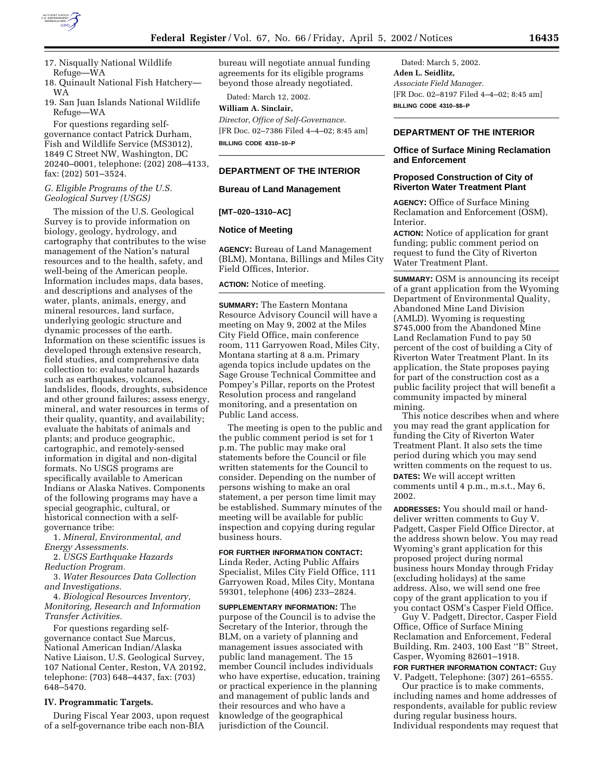

17. Nisqually National Wildlife Refuge—WA

18. Quinault National Fish Hatchery— WA

19. San Juan Islands National Wildlife Refuge—WA

For questions regarding selfgovernance contact Patrick Durham, Fish and Wildlife Service (MS3012), 1849 C Street NW, Washington, DC 20240–0001, telephone: (202) 208–4133, fax: (202) 501–3524.

## *G. Eligible Programs of the U.S. Geological Survey (USGS)*

The mission of the U.S. Geological Survey is to provide information on biology, geology, hydrology, and cartography that contributes to the wise management of the Nation's natural resources and to the health, safety, and well-being of the American people. Information includes maps, data bases, and descriptions and analyses of the water, plants, animals, energy, and mineral resources, land surface, underlying geologic structure and dynamic processes of the earth. Information on these scientific issues is developed through extensive research, field studies, and comprehensive data collection to: evaluate natural hazards such as earthquakes, volcanoes, landslides, floods, droughts, subsidence and other ground failures; assess energy, mineral, and water resources in terms of their quality, quantity, and availability; evaluate the habitats of animals and plants; and produce geographic, cartographic, and remotely-sensed information in digital and non-digital formats. No USGS programs are specifically available to American Indians or Alaska Natives. Components of the following programs may have a special geographic, cultural, or historical connection with a selfgovernance tribe:

1. *Mineral, Environmental, and Energy Assessments.*

2. *USGS Earthquake Hazards Reduction Program.*

3. *Water Resources Data Collection and Investigations.*

4. *Biological Resources Inventory, Monitoring, Research and Information Transfer Activities.*

For questions regarding selfgovernance contact Sue Marcus, National American Indian/Alaska Native Liaison, U.S. Geological Survey, 107 National Center, Reston, VA 20192, telephone: (703) 648–4437, fax: (703) 648–5470.

#### **IV. Programmatic Targets.**

During Fiscal Year 2003, upon request of a self-governance tribe each non-BIA

bureau will negotiate annual funding agreements for its eligible programs beyond those already negotiated.

Dated: March 12, 2002. **William A. Sinclair,**

*Director, Office of Self-Governance.* [FR Doc. 02–7386 Filed 4–4–02; 8:45 am] **BILLING CODE 4310–10–P**

### **DEPARTMENT OF THE INTERIOR**

### **Bureau of Land Management**

### **[MT–020–1310–AC]**

#### **Notice of Meeting**

**AGENCY:** Bureau of Land Management (BLM), Montana, Billings and Miles City Field Offices, Interior.

**ACTION:** Notice of meeting.

**SUMMARY:** The Eastern Montana Resource Advisory Council will have a meeting on May 9, 2002 at the Miles City Field Office, main conference room, 111 Garryowen Road, Miles City, Montana starting at 8 a.m. Primary agenda topics include updates on the Sage Grouse Technical Committee and Pompey's Pillar, reports on the Protest Resolution process and rangeland monitoring, and a presentation on Public Land access.

The meeting is open to the public and the public comment period is set for 1 p.m. The public may make oral statements before the Council or file written statements for the Council to consider. Depending on the number of persons wishing to make an oral statement, a per person time limit may be established. Summary minutes of the meeting will be available for public inspection and copying during regular business hours.

**FOR FURTHER INFORMATION CONTACT:** Linda Reder, Acting Public Affairs Specialist, Miles City Field Office, 111 Garryowen Road, Miles City, Montana 59301, telephone (406) 233–2824.

**SUPPLEMENTARY INFORMATION:** The purpose of the Council is to advise the Secretary of the Interior, through the BLM, on a variety of planning and management issues associated with public land management. The 15 member Council includes individuals who have expertise, education, training or practical experience in the planning and management of public lands and their resources and who have a knowledge of the geographical jurisdiction of the Council.

Dated: March 5, 2002. **Aden L. Seidlitz,** *Associate Field Manager.* [FR Doc. 02–8197 Filed 4–4–02; 8:45 am] **BILLING CODE 4310–\$\$–P**

#### **DEPARTMENT OF THE INTERIOR**

## **Office of Surface Mining Reclamation and Enforcement**

# **Proposed Construction of City of Riverton Water Treatment Plant**

**AGENCY:** Office of Surface Mining Reclamation and Enforcement (OSM), Interior.

**ACTION:** Notice of application for grant funding; public comment period on request to fund the City of Riverton Water Treatment Plant.

**SUMMARY:** OSM is announcing its receipt of a grant application from the Wyoming Department of Environmental Quality, Abandoned Mine Land Division (AMLD). Wyoming is requesting \$745,000 from the Abandoned Mine Land Reclamation Fund to pay 50 percent of the cost of building a City of Riverton Water Treatment Plant. In its application, the State proposes paying for part of the construction cost as a public facility project that will benefit a community impacted by mineral mining.

This notice describes when and where you may read the grant application for funding the City of Riverton Water Treatment Plant. It also sets the time period during which you may send written comments on the request to us. **DATES:** We will accept written comments until 4 p.m., m.s.t., May 6, 2002.

**ADDRESSES:** You should mail or handdeliver written comments to Guy V. Padgett, Casper Field Office Director, at the address shown below. You may read Wyoming's grant application for this proposed project during normal business hours Monday through Friday (excluding holidays) at the same address. Also, we will send one free copy of the grant application to you if you contact OSM's Casper Field Office.

Guy V. Padgett, Director, Casper Field Office, Office of Surface Mining Reclamation and Enforcement, Federal Building, Rm. 2403, 100 East ''B'' Street, Casper, Wyoming 82601–1918.

**FOR FURTHER INFORMATION CONTACT:** Guy V. Padgett, Telephone: (307) 261–6555.

Our practice is to make comments, including names and home addresses of respondents, available for public review during regular business hours. Individual respondents may request that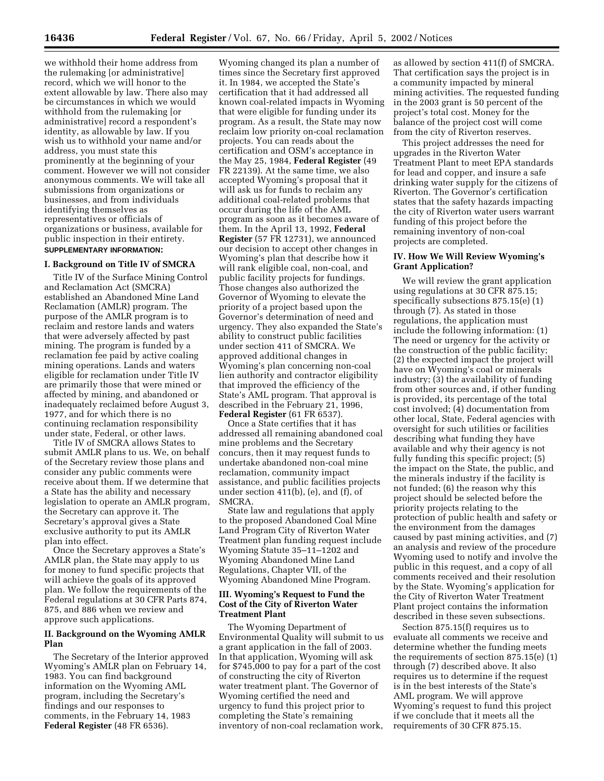we withhold their home address from the rulemaking [or administrative] record, which we will honor to the extent allowable by law. There also may be circumstances in which we would withhold from the rulemaking [or administrative] record a respondent's identity, as allowable by law. If you wish us to withhold your name and/or address, you must state this prominently at the beginning of your comment. However we will not consider anonymous comments. We will take all submissions from organizations or businesses, and from individuals identifying themselves as representatives or officials of organizations or business, available for public inspection in their entirety. **SUPPLEMENTARY INFORMATION:** 

## **I. Background on Title IV of SMCRA**

Title IV of the Surface Mining Control and Reclamation Act (SMCRA) established an Abandoned Mine Land Reclamation (AMLR) program. The purpose of the AMLR program is to reclaim and restore lands and waters that were adversely affected by past mining. The program is funded by a reclamation fee paid by active coaling mining operations. Lands and waters eligible for reclamation under Title IV are primarily those that were mined or affected by mining, and abandoned or inadequately reclaimed before August 3, 1977, and for which there is no continuing reclamation responsibility under state, Federal, or other laws.

Title IV of SMCRA allows States to submit AMLR plans to us. We, on behalf of the Secretary review those plans and consider any public comments were receive about them. If we determine that a State has the ability and necessary legislation to operate an AMLR program, the Secretary can approve it. The Secretary's approval gives a State exclusive authority to put its AMLR plan into effect.

Once the Secretary approves a State's AMLR plan, the State may apply to us for money to fund specific projects that will achieve the goals of its approved plan. We follow the requirements of the Federal regulations at 30 CFR Parts 874, 875, and 886 when we review and approve such applications.

## **II. Background on the Wyoming AMLR Plan**

The Secretary of the Interior approved Wyoming's AMLR plan on February 14, 1983. You can find background information on the Wyoming AML program, including the Secretary's findings and our responses to comments, in the February 14, 1983 **Federal Register** (48 FR 6536).

Wyoming changed its plan a number of times since the Secretary first approved it. In 1984, we accepted the State's certification that it had addressed all known coal-related impacts in Wyoming that were eligible for funding under its program. As a result, the State may now reclaim low priority on-coal reclamation projects. You can reads about the certification and OSM's acceptance in the May 25, 1984, **Federal Register** (49 FR 22139). At the same time, we also accepted Wyoming's proposal that it will ask us for funds to reclaim any additional coal-related problems that occur during the life of the AML program as soon as it becomes aware of them. In the April 13, 1992, **Federal Register** (57 FR 12731), we announced our decision to accept other changes in Wyoming's plan that describe how it will rank eligible coal, non-coal, and public facility projects for fundings. Those changes also authorized the Governor of Wyoming to elevate the priority of a project based upon the Governor's determination of need and urgency. They also expanded the State's ability to construct public facilities under section 411 of SMCRA. We approved additional changes in Wyoming's plan concerning non-coal lien authority and contractor eligibility that improved the efficiency of the State's AML program. That approval is described in the February 21, 1996, **Federal Register** (61 FR 6537).

Once a State certifies that it has addressed all remaining abandoned coal mine problems and the Secretary concurs, then it may request funds to undertake abandoned non-coal mine reclamation, community impact assistance, and public facilities projects under section 411(b), (e), and (f), of SMCRA.

State law and regulations that apply to the proposed Abandoned Coal Mine Land Program City of Riverton Water Treatment plan funding request include Wyoming Statute 35–11–1202 and Wyoming Abandoned Mine Land Regulations, Chapter VII, of the Wyoming Abandoned Mine Program.

### **III. Wyoming's Request to Fund the Cost of the City of Riverton Water Treatment Plant**

The Wyoming Department of Environmental Quality will submit to us a grant application in the fall of 2003. In that application, Wyoming will ask for \$745,000 to pay for a part of the cost of constructing the city of Riverton water treatment plant. The Governor of Wyoming certified the need and urgency to fund this project prior to completing the State's remaining inventory of non-coal reclamation work,

as allowed by section 411(f) of SMCRA. That certification says the project is in a community impacted by mineral mining activities. The requested funding in the 2003 grant is 50 percent of the project's total cost. Money for the balance of the project cost will come from the city of Riverton reserves.

This project addresses the need for upgrades in the Riverton Water Treatment Plant to meet EPA standards for lead and copper, and insure a safe drinking water supply for the citizens of Riverton. The Governor's certification states that the safety hazards impacting the city of Riverton water users warrant funding of this project before the remaining inventory of non-coal projects are completed.

# **IV. How We Will Review Wyoming's Grant Application?**

We will review the grant application using regulations at 30 CFR 875.15; specifically subsections 875.15(e) (1) through (7). As stated in those regulations, the application must include the following information: (1) The need or urgency for the activity or the construction of the public facility; (2) the expected impact the project will have on Wyoming's coal or minerals industry; (3) the availability of funding from other sources and, if other funding is provided, its percentage of the total cost involved; (4) documentation from other local, State, Federal agencies with oversight for such utilities or facilities describing what funding they have available and why their agency is not fully funding this specific project; (5) the impact on the State, the public, and the minerals industry if the facility is not funded; (6) the reason why this project should be selected before the priority projects relating to the protection of public health and safety or the environment from the damages caused by past mining activities, and (7) an analysis and review of the procedure Wyoming used to notify and involve the public in this request, and a copy of all comments received and their resolution by the State. Wyoming's application for the City of Riverton Water Treatment Plant project contains the information described in these seven subsections.

Section 875.15(f) requires us to evaluate all comments we receive and determine whether the funding meets the requirements of section 875.15(e) (1) through (7) described above. It also requires us to determine if the request is in the best interests of the State's AML program. We will approve Wyoming's request to fund this project if we conclude that it meets all the requirements of 30 CFR 875.15.